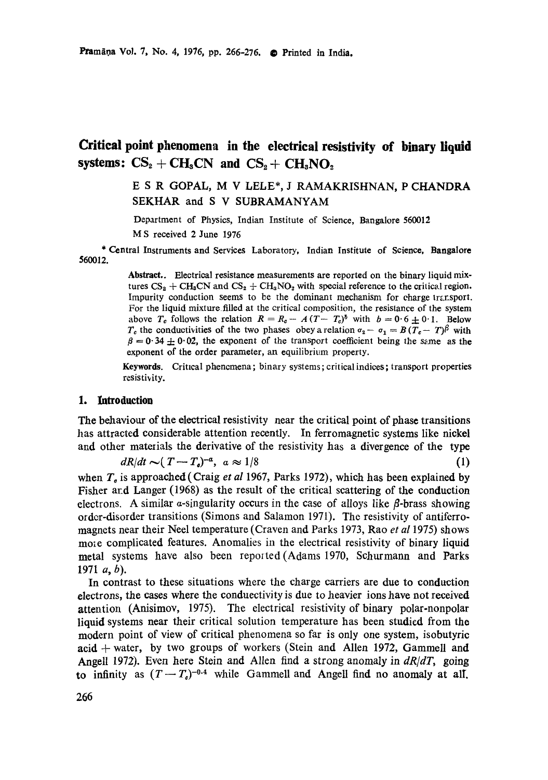# **Critical point phenomena in the electrical resistivity of binary liquid systems:**  $CS_2 + CH_3CN$  and  $CS_2 + CH_3NO_2$

# E S R GOPAL, M V LELE\*, J RAMAKRISHNAN, P CHANDRA SEKHAR and S V SUBRAMANYAM

Department of Physics, Indian Institute of Science, Bangalore 560012 M S received 2 June 1976

\* Central Instruments and Services Laboratory, Indian Institute of Science, Bangalora 560012.

> Abstract.. Electrical resistance measurements are reported on the binary liquid mixtures  $CS_2 + CH_3CN$  and  $CS_2 + CH_3NO_2$  with special reference to the critical region. Impurity conduction seems to be the dominant mechanism for charge transport. For the liquid mixture filled at the critical composition, the resistance of the system above  $T_c$  follows the relation  $R = R_c - A (T - T_c)^b$  with  $b = 0.6 \pm 0.1$ . Below  $T_c$  the conductivities of the two phases obey a relation  $\sigma_2 - \sigma_1 = B (T_c - T)^{\beta}$  with  $\beta = 0.34 \pm 0.02$ , the exponent of the transport coefficient being the same as the exponent of the order parameter, an equilibrium property.

Keywords. Critical phenomena; binary systems; critical indices; transport properties resistivity.

#### **1. Introduction**

The behaviour of the electrical resistivity near the critical point of phase transitions has attracted considerable attention recently. In ferromagnetic systems like nickel and other materials the derivative of the resistivity has a divergence of the type

 $dR/dt \sim (T-T_e)^{-a}, \ \alpha \approx 1/8$  (1)

when  $T<sub>e</sub>$  is approached (Craig *et al* 1967, Parks 1972), which has been explained by Fisher and Langer (1968) as the result of the critical scattering of the conduction electrons. A similar  $\alpha$ -singularity occurs in the case of alloys like  $\beta$ -brass showing order-disorder transitions (Simons and Salamon 1971). The resistivity of antiferromagnets near their Neel temperature (Craven and Parks 1973, Rao *et al* 1975) shows more complicated features. Anomalies in the electrical resistivity of binary liquid metal systems have also been reported(Adams 1970, Schurmann and Parks 1971  $a, b$ ).

In contrast to these situations where the charge carriers are due to conduction electrons, the cases where the conduectivity is due to heavier ions have not received attention (Anisimov, 1975). The electrical resistivity of binary polar-nonpolar liquid systems near their critical solution temperature has been studied from the modern point of view of critical phenomena so far is only one system, isobutyric  $acid + water$ , by two groups of workers (Stein and Allen 1972, Gammell and Angell 1972). Even here Stein and Allen find a strong anomaly in *dR/dT,* going to infinity as  $(T-T_c)^{-0.4}$  while Gammell and Angell find no anomaly at all.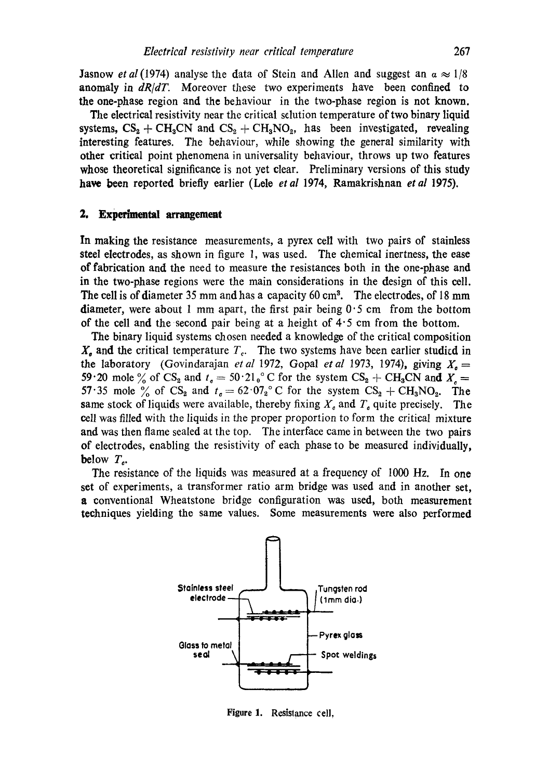**Jasnow** *et al* (1974) analyse the data of Stein and Allen and suggest an  $a \approx 1/8$ anomaly in *dR/dT.* Moreover these two experiments have been confined to **the** one-phase region and the behaviour in the two-phase region is not known.

The electrical resistivity near the critical selution temperature of two binary liquid systems,  $CS_2 + CH_3CN$  and  $CS_2 + CH_3NO_2$ , has been investigated, revealing interesting features. The behaviour, while showing the general similarity with other critical point phenomena in universality behaviour, throws up two features whose theoretical significance is not yet clear. Preliminary versions of this study **have been** reported briefly earlier (Lde *etal* 1974, Ramakrishnan *etal* 1975).

## **2. Experimental arrangement**

In making the resistance measurements, a pyrex cell with two pairs of stainless steel electrodes, as shown in figure 1, was used. The chemical inertness, the ease of fabrication and the need to measure the resistances both in the one-phase and **in** the two-phase regions were the main considerations in the design of this cell. The cell is of diameter 35 mm and has a capacity 60 cm<sup>3</sup>. The electrodes, of 18 mm diameter, were about 1 mm apart, the first pair being  $0.5$  cm from the bottom of the cell and the second pair being at a height of  $4.5$  cm from the bottom.

The binary liquid systems chosen needed a knowledge of the critical composition  $X<sub>c</sub>$  and the critical temperature  $T<sub>c</sub>$ . The two systems have been earlier studied in the laboratory (Govindarajan *et al 1972*, Gopal *et al 1973*, 1974), giving  $X<sub>e</sub> =$ 59.20 mole  $\%$  of CS<sub>2</sub> and  $t_e = 50.21<sub>o</sub>°$  C for the system CS<sub>2</sub> + CH<sub>3</sub>CN and  $X_e =$ 57.35 mole  $\%$  of CS<sub>2</sub> and  $t_e = 62.07_2$ °C for the system CS<sub>2</sub> + CH<sub>3</sub>NO<sub>2</sub>. The same stock of liquids were available, thereby fixing  $X_c$  and  $T_c$  quite precisely. The cell was filled with the liquids in the proper proportion to form the critical mixture and was then flame sealed at the top. The interface came in between the two pairs of electrodes, enabling the resistivity of each phase to be measured individually, below  $T_{\alpha}$ .

The resistance of the liquids was measured at a frequency of 1000 Hz. In one set of experiments, a transformer ratio arm bridge was used and in another set, a conventional Wheatstone bridge configuration was used, both measurement techniques yielding the same values. Some measurements were also performed



**Figure** 1. Resislance cell,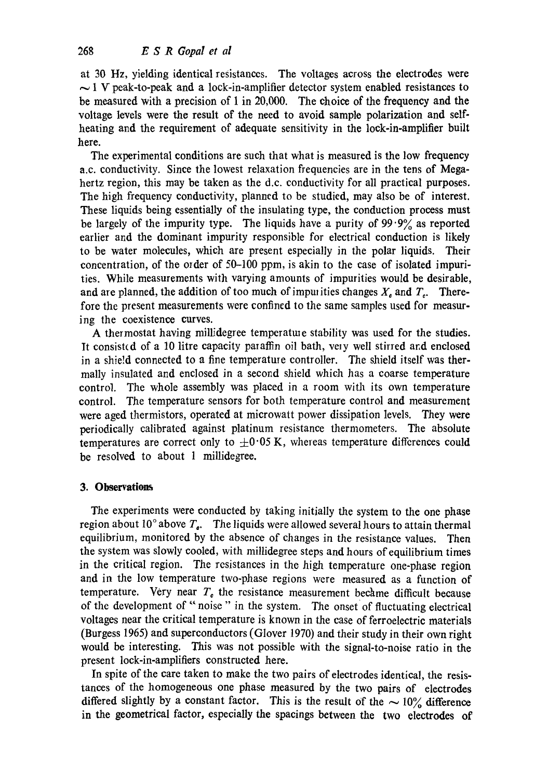at 30 Hz, yielding identical resistances. The voltages across the electrodes were  $\sim$  1 V peak-to-peak and a lock-in-amplifier detector system enabled resistances to be measured with a precision of 1 in 20,000. The choice of the frequency and the voltage levels were the result of the need to avoid sample polarization and selfheating and the requirement of adequate sensitivity in the lock-in-amplifier built here.

The experimental conditions are such that what is measured is the low frequency a.c. conductivity. Since the lowest relaxation frequencies are in the tens of Megahertz region, this may be taken as the d.c. conductivity for all practical purposes. The high frequency conductivity, planned to be studied, may also be of interest. These liquids being essentially of the insulating type, the conduction process must be largely of the impurity type. The liquids have a purity of  $99.9\%$  as reported earlier and the dominant impurity responsible for electrical conduction is likely to be water molecules, which are present especially in the polar liquids. Their concentration, of the order of  $50-100$  ppm, is akin to the case of isolated impurities. While measurements with varying amounts of impurities would be desirable, and are planned, the addition of too much of impurities changes  $X<sub>e</sub>$  and  $T<sub>e</sub>$ . Therefore the present measurements were confined to the same samples used for measuring the coexistence curves.

A thermostat having millidegree temperature stability was used for the studies. It consisted of a 10 litre capacity paraffin oil bath, very well stirred and enclosed in a shie!d connected to a fine temperature controller. The shield itself was thermally insulated and enclosed in a second shield which has a coarse temperature control. The whole assembly was placed in a room with its own temperature control. The temperature sensors for both temperature control and measurement were aged thermistors, operated at microwatt power dissipation levels. They were periodically calibrated against platinum resistance thermometers. The absolute temperatures are correct only to  $\pm 0.05$  K, whereas temperature differences could be resolved to about 1 millidegree.

## 3. **Observations**

The experiments were conducted by taking initially the system to the one phase region about 10° above  $T_e$ . The liquids were allowed several hours to attain thermal equilibrium, monitored by the absence of changes in the resistance values. Then the system was slowly cooled, with millidegree steps and hours of equilibrium times in the critical region. The resistances in the high temperature one-phase region and in the low temperature two-phase regions were measured as a function of temperature. Very near  $T<sub>e</sub>$  the resistance measurement became difficult because of the development of "noise" in the system. The onset of fluctuating electrical voltages near the critical temperature is known in the case of ferroelectric materials (Burgess 1965) and superconductors (Glover 1970) and their study in their own right would be interesting. This was not possible with the signal-to-noise ratio in the present lock-in-amplifiers constructed here.

In spite of the care taken to make the two pairs of electrodes identical, the resistances of the homogeneous one phase measured by the two pairs of electrodes differed slightly by a constant factor. This is the result of the  $\sim 10\%$  difference in the geometrical factor, especially the spacings between the two electrodes of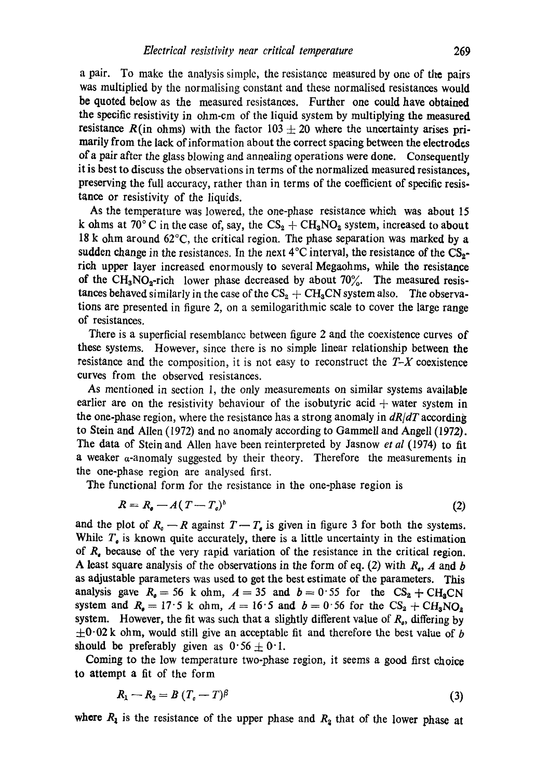a pair. To make the analysis simple, the resistance measured by one of the pairs was multiplied by the normalising constant and these normalised resistances would be quoted below as the measured resistances. Further one could have obtained the specific resistivity in ohm-cm of the liquid system by multiplying the measured resistance R(in ohms) with the factor  $103 \pm 20$  where the uncertainty arises primarily from the lack of information about the correct spacing between the electrodes of a pair after the glass blowing and annealing operations were done. Consequently it is best to discuss the observations in terms of the normalized measured resistances, preserving the full accuracy, rather than in terms of the coefficient of specific resistance or resistivity of the liquids.

As the temperature was lowered, the one-phase resistance which was about 15 k ohms at 70° C in the case of, say, the  $CS_2 + CH_3NO_2$  system, increased to about 18 k ohm around  $62^{\circ}$ C, the critical region. The phase separation was marked by a sudden change in the resistances. In the next  $4^{\circ}$ C interval, the resistance of the CS<sub>s</sub>rich upper layer increased enormously to several Megaohms, while the resistance of the CH<sub>3</sub>NO<sub>2</sub>-rich lower phase decreased by about  $70\%$ . The measured resistances behaved similarly in the case of the  $CS_2 + CH_3CN$  system also. The observations are presented in figure 2, on a semilogarithmic scale to cover the large range of resistances.

There is a superficial resemblance between figure 2 and the coexistence curves of these systems. However, since there is no simple linear relationship between the resistance and the composition, it is not easy to reconstruct the *T-X* coexistence curves from the observed resistances.

As mentioned in section 1, the only measurements on similar systems available earlier are on the resistivity behaviour of the isobutyric acid  $+$  water system in the one-phase region, where the resistance has a strong anomaly in  $dR/dT$  according to Stein and Allen (1972) and no anomaly according to Gammell and Angell (1972). The data of Stein and Allen have been reinterpreted by Jasnow *et al* (1974) to fit a weaker  $\alpha$ -anomaly suggested by their theory. Therefore the measurements in the one-phase region are analysed first.

The functional form for the resistance in the one-phase region is

$$
R = R_{\rm o} - A (T - T_{\rm o})^b \tag{2}
$$

and the plot of  $R_o - R$  against  $T-T_o$  is given in figure 3 for both the systems. While  $T<sub>e</sub>$  is known quite accurately, there is a little uncertainty in the estimation of  $R<sub>e</sub>$  because of the very rapid variation of the resistance in the critical region. A least square analysis of the observations in the form of eq. (2) with  $R_{e}$ , A and b as adjustable parameters was used to get the best estimate of the parameters. This analysis gave  $R_0=56$  k ohm,  $A=35$  and  $b=0.55$  for the  $CS_2+CH_3CN$ system and  $R_0 = 17.5$  k ohm,  $A = 16.5$  and  $b = 0.56$  for the  $CS_2 + CH_3NO_2$ system. However, the fit was such that a slightly different value of  $R<sub>e</sub>$ , differing by  $\pm 0.02$  k ohm, would still give an acceptable fit and therefore the best value of b should be preferably given as  $0.56 \pm 0.1$ .

Coming to the low temperature two-phase region, it seems a good first choice to attempt a fit of the form

$$
R_1 - R_2 = B(T_c - T)^{\beta} \tag{3}
$$

where  $R_1$  is the resistance of the upper phase and  $R_2$  that of the lower phase at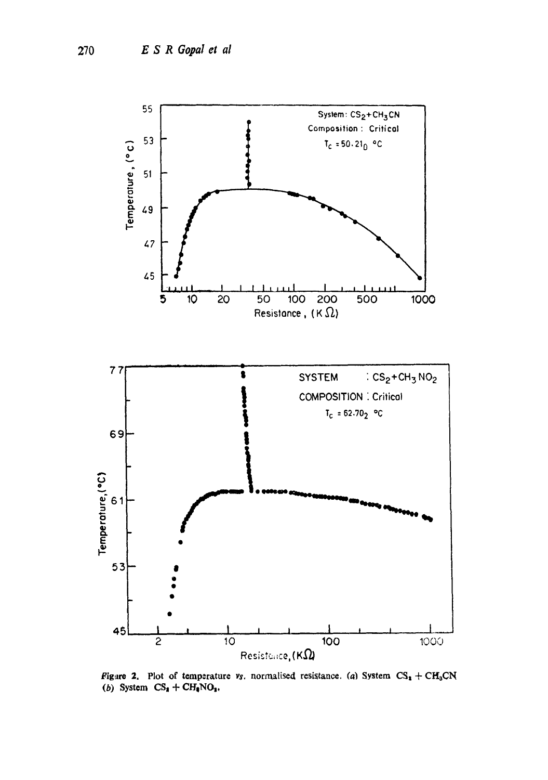

Figure 2. Plot of temperature vs. normalised resistance. (a) System  $CS_1 + CH_3CN$ (b) System  $CS_4 + CH_6 NO_3$ ,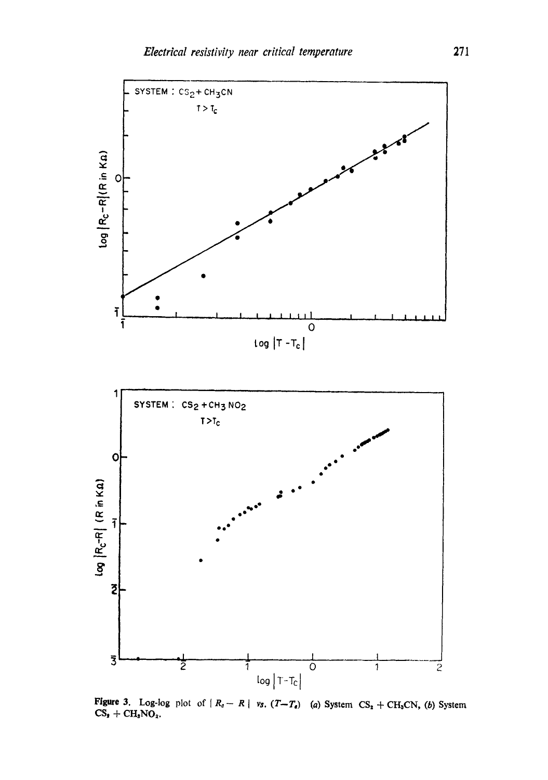

Figure 3. Log-log plot of  $|R_o - R|$  vs.  $(T - T_e)$  (a) System CS<sub>2</sub> + CH<sub>3</sub>CN, (b) System  $CS_2 + CH_3NO_2.$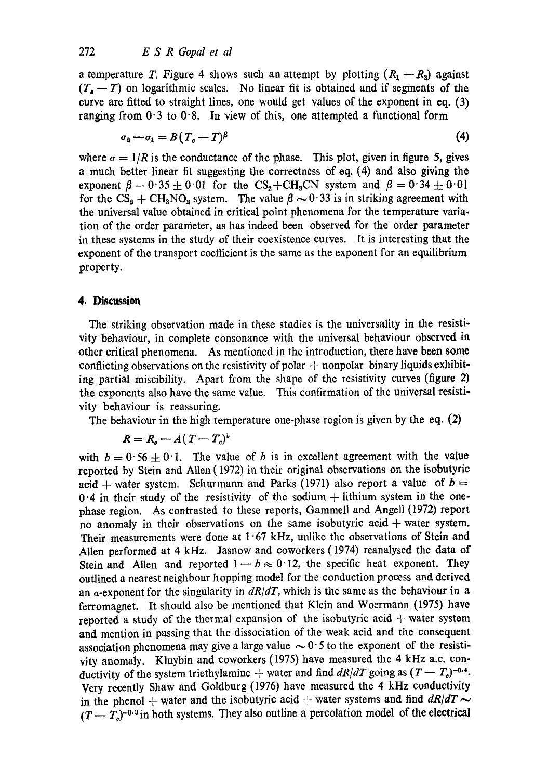a temperature T. Figure 4 shows such an attempt by plotting  $(R_1-R_2)$  against  $(T<sub>a</sub> - T)$  on logarithmic scales. No linear fit is obtained and if segments of the curve are fitted to straight lines, one would get values of the exponent in eq. (3) ranging from  $0.3$  to  $0.8$ . In view of this, one attempted a functional form

$$
\sigma_2 - \sigma_1 = B(T_c - T)^{\beta} \tag{4}
$$

where  $\sigma = 1/R$  is the conductance of the phase. This plot, given in figure 5, gives a much better linear fit suggesting the correctness of eq. (4) and also giving the exponent  $\beta = 0.35 \pm 0.01$  for the CS<sub>2</sub>+CH<sub>3</sub>CN system and  $\beta = 0.34 \pm 0.01$ for the  $CS_2 + CH_3NO_2$  system. The value  $\beta \sim 0.33$  is in striking agreement with the universal value obtained in critical point phenomena for the temperature variation of the order parameter, as has indeed been observed for the order parameter in these systems in the study of their coexistence curves. It is interesting that the exponent of the transport coefficient is the same as the exponent for an equilibrium property.

# **4. Discussion**

The striking observation made in these studies is the universality in the resistivity behaviour, in complete consonance with the universal behaviour observed in other critical phenomena. As mentioned in the introduction, there have been some conflicting observations on the resistivity of polar  $+$  nonpolar binary liquids exhibiting partial miscibility. Apart from the shape of the resistivity curves (figure 2) the exponents also have the same value. This confirmation of the universal resistivity behaviour is reassuring.

The behaviour in the high temperature one-phase region is given by the eq. (2)

$$
R=R_{\rm o}-A(T-T_{\rm o})^b
$$

with  $b = 0.56 + 0.1$ . The value of b is in excellent agreement with the value reported by Stein and Allen (1972) in their original observations on the isobutyric acid + water system. Schurmann and Parks (1971) also report a value of  $b =$  $0.4$  in their study of the resistivity of the sodium  $+$  lithium system in the onephase region. As contrasted to these reports, Gammell and Angell (1972) report no anomaly in their observations on the same isobutyric acid  $+$  water system. Their measurements were done at  $1.67$  kHz, unlike the observations of Stein and Allen performed at 4 kHz. Jasnow and coworkers (1974) reanalysed the data of Stein and Allen and reported  $1 - b \approx 0.12$ , the specific heat exponent. They outlined a nearest neighbour hopping model for the conduction process and derived an  $\alpha$ -exponent for the singularity in  $dR/dT$ , which is the same as the behaviour in a ferromagnet. It should also be mentioned that Klein and Woermann (1975) have reported a study of the thermal expansion of the isobutyric acid  $+$  water system and mention in passing that the dissociation of the weak acid and the consequent association phenomena may give a large value  $\sim 0.5$  to the exponent of the resistivity anomaly. Kluybin and coworkers (1975) have measured the 4 kHz a.c. conductivity of the system triethylamine  $+$  water and find  $dR/dT$  going as  $(T - T_a)^{-0.4}$ . Very recently Shaw and Goldburg (1976) have measured the 4 kHz conductivity in the phenol + water and the isobutyric acid + water systems and find  $dR/dT \sim$  $(T-T_c)^{-0.3}$  in both systems. They also outline a percolation model of the electrical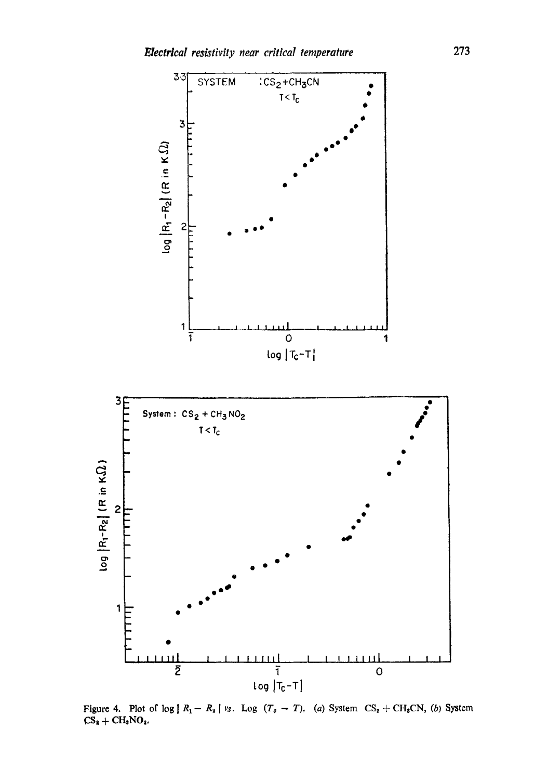

Figure 4. Plot of log  $|R_1 - R_2|$  vs. Log  $(T_0 - T)$ , (a) System  $CS_2 + CH_3CN$ , (b) System  $CS_2 + CH_3NO_3$ .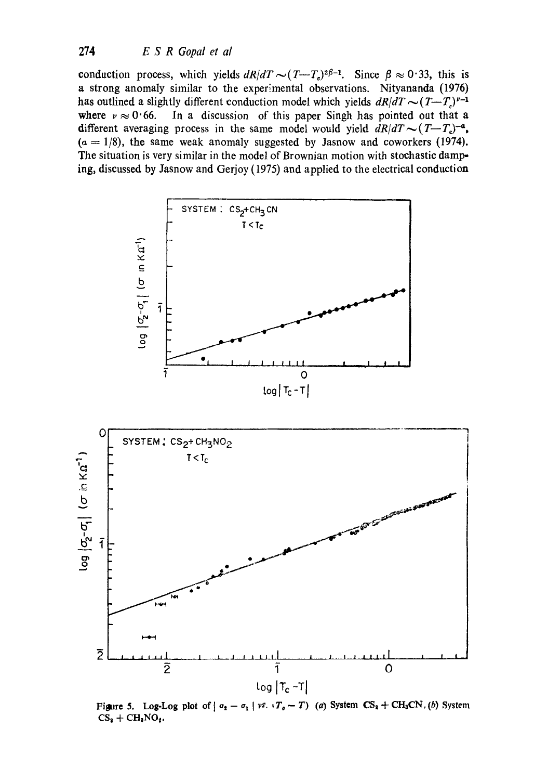conduction process, which yields  $dR/dT \sim (T-T_e)^{2\beta-1}$ . Since  $\beta \approx 0.33$ , this is a strong anomaly similar to the experimental observations. Nityananda (1976) has outlined a slightly different conduction model which yields  $dR/dT \sim (T-T)^{\nu-1}$ where  $v \approx 0.66$ . In a discussion of this paper Singh has pointed out that a different averaging process in the same model would yield  $dR/dT \sim (T-T_c)^{-a}$ ,  $(a = 1/8)$ , the same weak anomaly suggested by Jasnow and coworkers (1974). The situation is very similar in the model of Brownian motion with stochastic damping, discussed by Jasnow and Gerjoy (1975) and applied to the electrical conduction





Figure 5. Log-Log plot of  $\vert \sigma_1 - \sigma_1 \vert \nu s$ .  $\vert T_e - T$ ) (a) System CS<sub>a</sub> + CH<sub>3</sub>CN, (b) System  $CS<sub>2</sub> + CH<sub>3</sub>NO<sub>4</sub>.$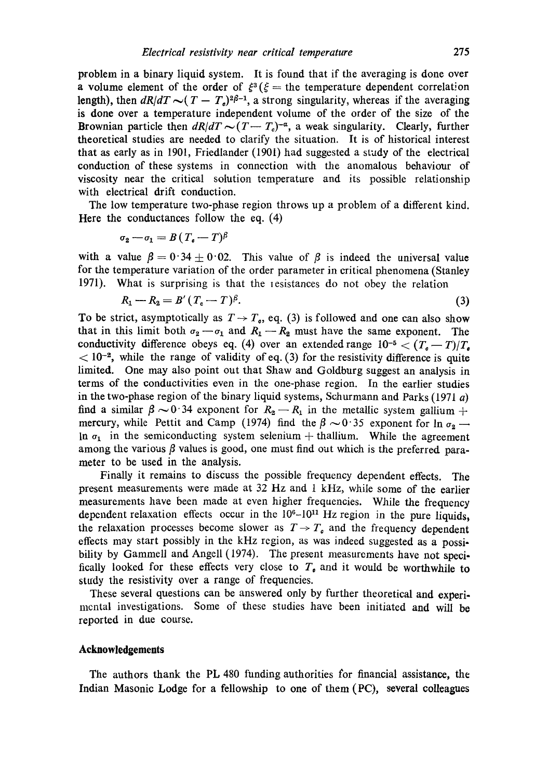problem in a binary liquid system. It is found that if the averaging is done over a volume element of the order of  $\xi^3$  ( $\xi$  = the temperature dependent correlation length), then  $dR/dT \sim (T - T_e)^{2\beta - 1}$ , a strong singularity, whereas if the averaging is done over a temperature independent volume of the order of the size of the Brownian particle then  $dR/dT \sim (T-T_c)^{-\alpha}$ , a weak singularity. Clearly, further theoretical studies are needed to clarify the situation. It is of historical interest that as early as in 1901, Friedlander (1901) had suggested a study of the electrical conduction of these systems in connection with the anomalous behaviour of viscosity near the critical solution temperature and its possible relationship with electrical drift conduction.

The low temperature two-phase region throws up a problem of a different kind. Here the conductances follow the eq. (4)

$$
\sigma_2 - \sigma_1 = B(T_{\rm c} - T)^{\beta}
$$

with a value  $\beta = 0.34 \pm 0.02$ . This value of  $\beta$  is indeed the universal value for the temperature variation of the order parameter in critical phenomena (Stanley 1971). What is surprising is that the lesistances do not obey the relation

$$
R_1 - R_2 = B'(T_c - T)^{\beta}.
$$
\n(3)

To be strict, asymptotically as  $T \rightarrow T_o$ , eq. (3) is followed and one can also show that in this limit both  $\sigma_2 - \sigma_1$  and  $R_1 - R_2$  must have the same exponent. The conductivity difference obeys eq. (4) over an extended range  $10^{-5} < (T_c - T)/T_c$  $< 10^{-2}$ , while the range of validity of eq. (3) for the resistivity difference is quite limited. One may also point out that Shaw and Goldburg suggest an analysis in terms of the conductivities even in the one-phase region. In the earlier studies in the two-phase region of the binary liquid systems, Schurmann and Parks  $(1971 a)$ find a similar  $\beta \sim 0.34$  exponent for  $R_2-R_1$  in the metallic system gallium  $+$ mercury, while Pettit and Camp (1974) find the  $\beta \sim 0.35$  exponent for In  $\sigma_2$ In  $\sigma_1$  in the semiconducting system selenium + thallium. While the agreement among the various  $\beta$  values is good, one must find out which is the preferred parameter to be used in the analysis.

Finally it remains to discuss the possible frequency dependent effects. The present measurements were made at 32 Hz and 1 kHz, while some of the earlier measurements have been made at even higher frequencies. While the frequency dependent relaxation effects occur in the  $10<sup>6</sup>-10<sup>11</sup>$  Hz region in the pure liquids, the relaxation processes become slower as  $T\rightarrow T_c$  and the frequency dependent effects may start possibly in the kHz region, as was indeed suggested as a possibility by Gammell and Angell (1974). The present measurements have not specifically looked for these effects very close to  $T<sub>e</sub>$  and it would be worthwhile to study the resistivity over a range of frequencies.

These several questions can be answered only by further theoretical and experimental investigations. Some of these studies have been initiated and will be reported in due course.

### **Acknowledgements**

The authors thank the PL 480 funding authorities for financial assistance, the Indian Masonic Lodge for a fellowship to one of them (PC), several colleagues